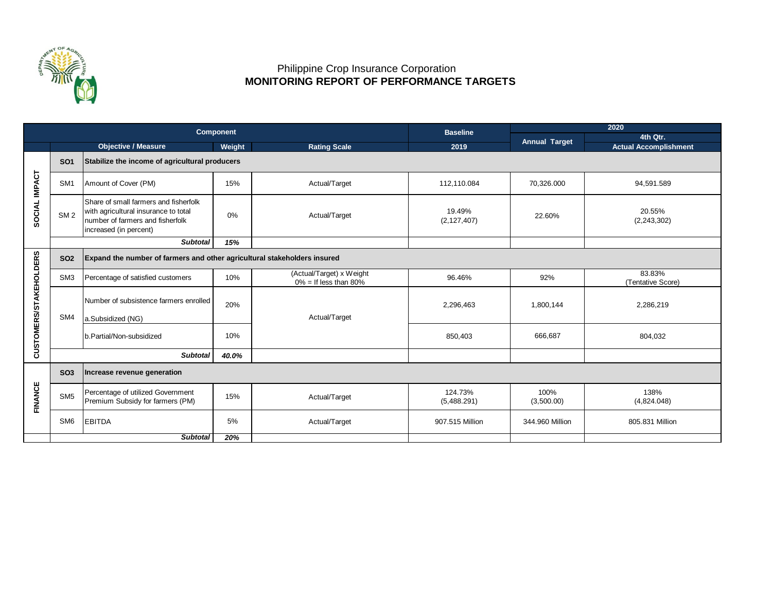

## Philippine Crop Insurance Corporation  **MONITORING REPORT OF PERFORMANCE TARGETS**

|                        |                 |                                                                                                                                             | <b>Component</b> |                                                      | <b>Baseline</b>         | 2020                 |                              |  |  |  |
|------------------------|-----------------|---------------------------------------------------------------------------------------------------------------------------------------------|------------------|------------------------------------------------------|-------------------------|----------------------|------------------------------|--|--|--|
|                        |                 |                                                                                                                                             |                  |                                                      |                         | <b>Annual Target</b> | 4th Qtr.                     |  |  |  |
|                        |                 | <b>Objective / Measure</b>                                                                                                                  | Weight           | <b>Rating Scale</b>                                  | 2019                    |                      | <b>Actual Accomplishment</b> |  |  |  |
| SOCIAL IMPACT          | <b>SO1</b>      | Stabilize the income of agricultural producers                                                                                              |                  |                                                      |                         |                      |                              |  |  |  |
|                        | SM <sub>1</sub> | Amount of Cover (PM)                                                                                                                        | 15%              | Actual/Target                                        | 112,110.084             | 70,326.000           | 94,591.589                   |  |  |  |
|                        | SM <sub>2</sub> | Share of small farmers and fisherfolk<br>with agricultural insurance to total<br>number of farmers and fisherfolk<br>increased (in percent) | 0%               | Actual/Target                                        | 19.49%<br>(2, 127, 407) | 22.60%               | 20.55%<br>(2, 243, 302)      |  |  |  |
|                        |                 | <b>Subtotal</b>                                                                                                                             | 15%              |                                                      |                         |                      |                              |  |  |  |
| CUSTOMERS/STAKEHOLDERS | <b>SO2</b>      | Expand the number of farmers and other agricultural stakeholders insured                                                                    |                  |                                                      |                         |                      |                              |  |  |  |
|                        | SM <sub>3</sub> | Percentage of satisfied customers                                                                                                           | 10%              | (Actual/Target) x Weight<br>$0\% =$ If less than 80% | 96.46%                  | 92%                  | 83.83%<br>(Tentative Score)  |  |  |  |
|                        | SM4             | Number of subsistence farmers enrolled                                                                                                      | 20%              | Actual/Target                                        | 2,296,463               | 1,800,144            | 2,286,219                    |  |  |  |
|                        |                 | a.Subsidized (NG)                                                                                                                           |                  |                                                      |                         |                      |                              |  |  |  |
|                        |                 | b.Partial/Non-subsidized                                                                                                                    | 10%              |                                                      | 850,403                 | 666,687              | 804,032                      |  |  |  |
|                        |                 | <b>Subtotal</b>                                                                                                                             | 40.0%            |                                                      |                         |                      |                              |  |  |  |
| <b>FINANCE</b>         | <b>SO3</b>      | Increase revenue generation                                                                                                                 |                  |                                                      |                         |                      |                              |  |  |  |
|                        | SM <sub>5</sub> | Percentage of utilized Government<br>Premium Subsidy for farmers (PM)                                                                       | 15%              | Actual/Target                                        | 124.73%<br>(5,488.291)  | 100%<br>(3,500.00)   | 138%<br>(4,824.048)          |  |  |  |
|                        | SM <sub>6</sub> | <b>EBITDA</b>                                                                                                                               | 5%               | Actual/Target                                        | 907.515 Million         | 344,960 Million      | 805.831 Million              |  |  |  |
|                        |                 | <b>Subtotal</b>                                                                                                                             | 20%              |                                                      |                         |                      |                              |  |  |  |